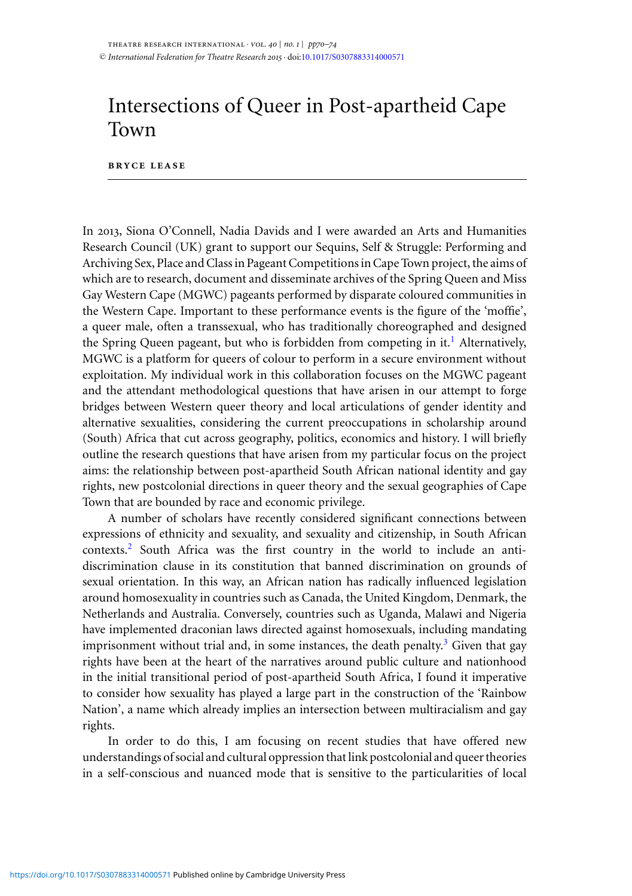## Intersections of Queer in Post-apartheid Cape Town

## **bryce lease**

In 2013, Siona O'Connell, Nadia Davids and I were awarded an Arts and Humanities Research Council (UK) grant to support our Sequins, Self & Struggle: Performing and Archiving Sex, Place and Class in Pageant Competitions in Cape Town project, the aims of which are to research, document and disseminate archives of the Spring Queen and Miss Gay Western Cape (MGWC) pageants performed by disparate coloured communities in the Western Cape. Important to these performance events is the figure of the 'moffie', a queer male, often a transsexual, who has traditionally choreographed and designed the Spring Queen pageant, but who is forbidden from competing in it[.](#page-3-0)<sup>1</sup> Alternatively, MGWC is a platform for queers of colour to perform in a secure environment without exploitation. My individual work in this collaboration focuses on the MGWC pageant and the attendant methodological questions that have arisen in our attempt to forge bridges between Western queer theory and local articulations of gender identity and alternative sexualities, considering the current preoccupations in scholarship around (South) Africa that cut across geography, politics, economics and history. I will briefly outline the research questions that have arisen from my particular focus on the project aims: the relationship between post-apartheid South African national identity and gay rights, new postcolonial directions in queer theory and the sexual geographies of Cape Town that are bounded by race and economic privilege.

A number of scholars have recently considered significant connections between expressions of ethnicity and sexuality, and sexuality and citizenship, in South African contexts[.](#page-3-0)<sup>2</sup> South Africa was the first country in the world to include an antidiscrimination clause in its constitution that banned discrimination on grounds of sexual orientation. In this way, an African nation has radically influenced legislation around homosexuality in countries such as Canada, the United Kingdom, Denmark, the Netherlands and Australia. Conversely, countries such as Uganda, Malawi and Nigeria have implemented draconian laws directed against homosexuals, including mandating imprisonment without trial and, in some instances, the death penalty[.](#page-3-0)<sup>3</sup> Given that gay rights have been at the heart of the narratives around public culture and nationhood in the initial transitional period of post-apartheid South Africa, I found it imperative to consider how sexuality has played a large part in the construction of the 'Rainbow Nation', a name which already implies an intersection between multiracialism and gay rights.

In order to do this, I am focusing on recent studies that have offered new understandings of social and cultural oppression that link postcolonial and queer theories in a self-conscious and nuanced mode that is sensitive to the particularities of local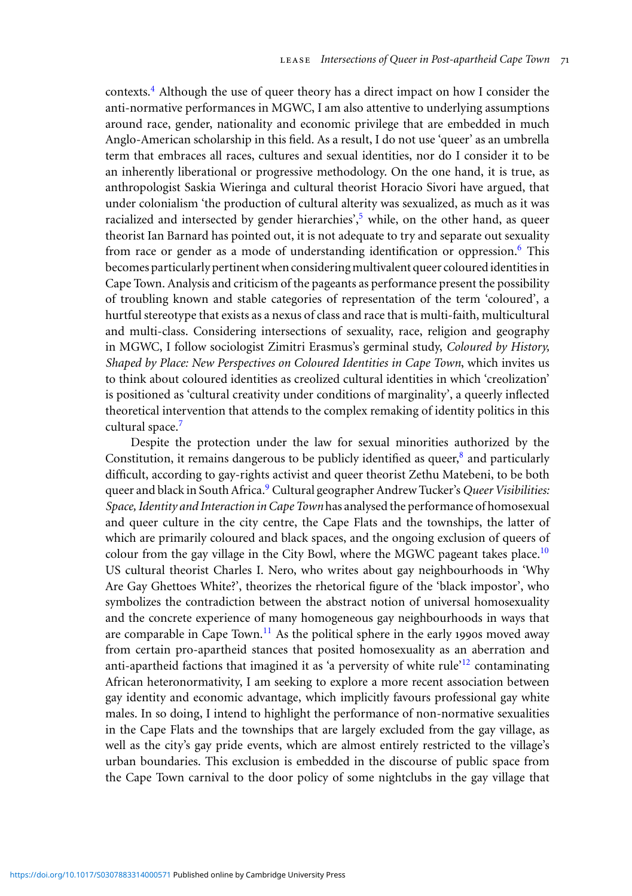contexts[.](#page-3-0)<sup>4</sup> Although the use of queer theory has a direct impact on how I consider the anti-normative performances in MGWC, I am also attentive to underlying assumptions around race, gender, nationality and economic privilege that are embedded in much Anglo-American scholarship in this field. As a result, I do not use 'queer' as an umbrella term that embraces all races, cultures and sexual identities, nor do I consider it to be an inherently liberational or progressive methodology. On the one hand, it is true, as anthropologist Saskia Wieringa and cultural theorist Horacio Sivori have argued, that under colonialism 'the production of cultural alterity was sexualized, as much as it was racialized and intersected by gender hierarchies'[,](#page-3-0) $5$  while, on the other hand, as queer theorist Ian Barnard has pointed out, it is not adequate to try and separate out sexuality from race or gender as a mode of understanding identification or oppression[.](#page-3-0)<sup>6</sup> This becomes particularly pertinent when considering multivalent queer coloured identities in Cape Town. Analysis and criticism of the pageants as performance present the possibility of troubling known and stable categories of representation of the term 'coloured', a hurtful stereotype that exists as a nexus of class and race that is multi-faith, multicultural and multi-class. Considering intersections of sexuality, race, religion and geography in MGWC, I follow sociologist Zimitri Erasmus's germinal study, *Coloured by History, Shaped by Place: New Perspectives on Coloured Identities in Cape Town*, which invites us to think about coloured identities as creolized cultural identities in which 'creolization' is positioned as 'cultural creativity under conditions of marginality', a queerly inflected theoretical intervention that attends to the complex remaking of identity politics in this cultural space[.](#page-3-0)<sup>7</sup>

Despite the protection under the law for sexual minorities authorized by the Constitution[,](#page-3-0) it remains dangerous to be publicly identified as queer, $\frac{8}{3}$  and particularly difficult, according to gay-rights activist and queer theorist Zethu Matebeni, to be both queer and black in South Africa[.](#page-3-0)<sup>9</sup> Cultural geographer Andrew Tucker's *Queer Visibilities: Space, Identity and Interaction in Cape Town* has analysed the performance of homosexual and queer culture in the city centre, the Cape Flats and the townships, the latter of which are primarily coloured and black spaces, and the ongoing exclusion of queers of colour from the gay village in the City Bowl, where the MGWC pageant takes place[.](#page-3-0)<sup>10</sup> US cultural theorist Charles I. Nero, who writes about gay neighbourhoods in 'Why Are Gay Ghettoes White?', theorizes the rhetorical figure of the 'black impostor', who symbolizes the contradiction between the abstract notion of universal homosexuality and the concrete experience of many homogeneous gay neighbourhoods in ways that are comparable in Cape Town[.](#page-4-0)<sup>11</sup> As the political sphere in the early 1990s moved away from certain pro-apartheid stances that posited homosexuality as an aberration and anti-apartheid factions that imagined it as ['](#page-4-0)a perversity of white rule'<sup>12</sup> contaminating African heteronormativity, I am seeking to explore a more recent association between gay identity and economic advantage, which implicitly favours professional gay white males. In so doing, I intend to highlight the performance of non-normative sexualities in the Cape Flats and the townships that are largely excluded from the gay village, as well as the city's gay pride events, which are almost entirely restricted to the village's urban boundaries. This exclusion is embedded in the discourse of public space from the Cape Town carnival to the door policy of some nightclubs in the gay village that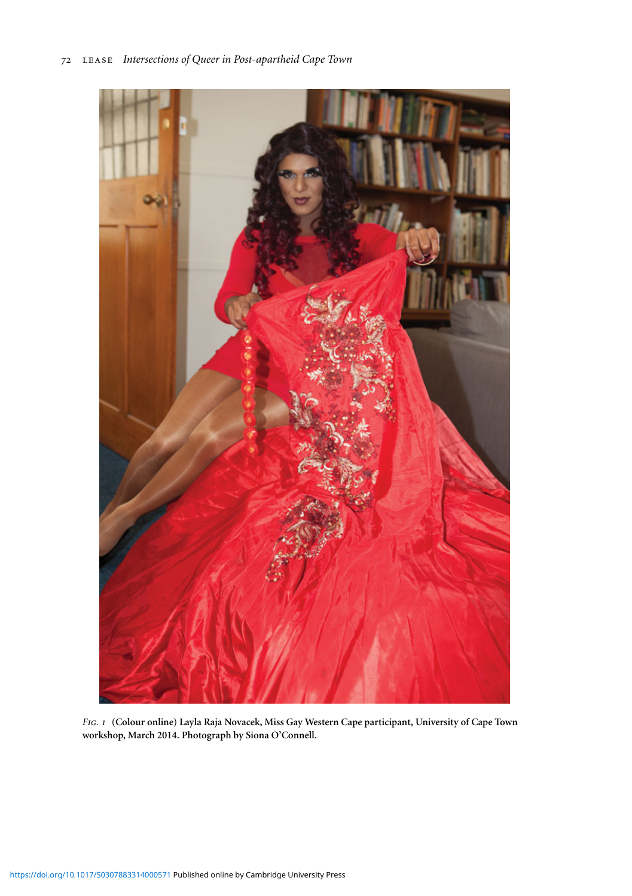

*Fig. 1* **(Colour online) Layla Raja Novacek, Miss Gay Western Cape participant, University of Cape Town workshop, March 2014. Photograph by Siona O'Connell.**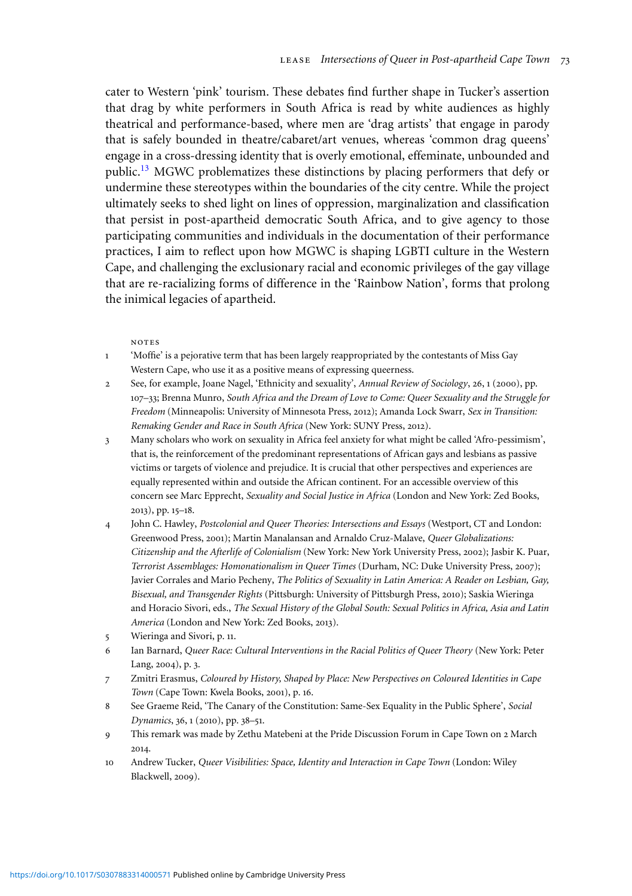<span id="page-3-0"></span>cater to Western 'pink' tourism. These debates find further shape in Tucker's assertion that drag by white performers in South Africa is read by white audiences as highly theatrical and performance-based, where men are 'drag artists' that engage in parody that is safely bounded in theatre/cabaret/art venues, whereas 'common drag queens' engage in a cross-dressing identity that is overly emotional, effeminate, unbounded and public[.](#page-4-0)<sup>13</sup> MGWC problematizes these distinctions by placing performers that defy or undermine these stereotypes within the boundaries of the city centre. While the project ultimately seeks to shed light on lines of oppression, marginalization and classification that persist in post-apartheid democratic South Africa, and to give agency to those participating communities and individuals in the documentation of their performance practices, I aim to reflect upon how MGWC is shaping LGBTI culture in the Western Cape, and challenging the exclusionary racial and economic privileges of the gay village that are re-racializing forms of difference in the 'Rainbow Nation', forms that prolong the inimical legacies of apartheid.

## notes

- 1 'Moffie' is a pejorative term that has been largely reappropriated by the contestants of Miss Gay Western Cape, who use it as a positive means of expressing queerness.
- 2 See, for example, Joane Nagel, 'Ethnicity and sexuality', *Annual Review of Sociology*, 26, 1 (2000), pp. 107–33; Brenna Munro, *South Africa and the Dream of Love to Come: Queer Sexuality and the Struggle for Freedom* (Minneapolis: University of Minnesota Press, 2012); Amanda Lock Swarr, *Sex in Transition: Remaking Gender and Race in South Africa* (New York: SUNY Press, 2012).
- 3 Many scholars who work on sexuality in Africa feel anxiety for what might be called 'Afro-pessimism', that is, the reinforcement of the predominant representations of African gays and lesbians as passive victims or targets of violence and prejudice. It is crucial that other perspectives and experiences are equally represented within and outside the African continent. For an accessible overview of this concern see Marc Epprecht, *Sexuality and Social Justice in Africa* (London and New York: Zed Books, 2013), pp. 15–18.
- 4 John C. Hawley, *Postcolonial and Queer Theories: Intersections and Essays* (Westport, CT and London: Greenwood Press, 2001); Martin Manalansan and Arnaldo Cruz-Malave, *Queer Globalizations: Citizenship and the Afterlife of Colonialism* (New York: New York University Press, 2002); Jasbir K. Puar, *Terrorist Assemblages: Homonationalism in Queer Times* (Durham, NC: Duke University Press, 2007); Javier Corrales and Mario Pecheny, *The Politics of Sexuality in Latin America: A Reader on Lesbian, Gay, Bisexual, and Transgender Rights* (Pittsburgh: University of Pittsburgh Press, 2010); Saskia Wieringa and Horacio Sivori, eds., *The Sexual History of the Global South: Sexual Politics in Africa, Asia and Latin America* (London and New York: Zed Books, 2013).
- 5 Wieringa and Sivori, p. 11.
- 6 Ian Barnard, *Queer Race: Cultural Interventions in the Racial Politics of Queer Theory* (New York: Peter Lang, 2004), p. 3.
- 7 Zmitri Erasmus, *Coloured by History, Shaped by Place: New Perspectives on Coloured Identities in Cape Town* (Cape Town: Kwela Books, 2001), p. 16.
- 8 See Graeme Reid, 'The Canary of the Constitution: Same-Sex Equality in the Public Sphere', *Social Dynamics*, 36, 1 (2010), pp. 38–51.
- 9 This remark was made by Zethu Matebeni at the Pride Discussion Forum in Cape Town on 2 March 2014.
- 10 Andrew Tucker, *Queer Visibilities: Space, Identity and Interaction in Cape Town* (London: Wiley Blackwell, 2009).